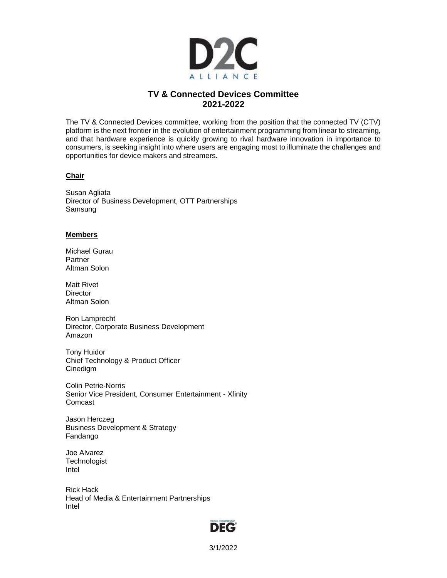

## **TV & Connected Devices Committee 2021-2022**

The TV & Connected Devices committee, working from the position that the connected TV (CTV) platform is the next frontier in the evolution of entertainment programming from linear to streaming, and that hardware experience is quickly growing to rival hardware innovation in importance to consumers, is seeking insight into where users are engaging most to illuminate the challenges and opportunities for device makers and streamers.

## **Chair**

Susan Agliata Director of Business Development, OTT Partnerships Samsung

## **Members**

Michael Gurau **Partner** Altman Solon

Matt Rivet **Director** Altman Solon

Ron Lamprecht Director, Corporate Business Development Amazon

Tony Huidor Chief Technology & Product Officer Cinedigm

Colin Petrie-Norris Senior Vice President, Consumer Entertainment - Xfinity Comcast

Jason Herczeg Business Development & Strategy Fandango

Joe Alvarez **Technologist** Intel

Rick Hack Head of Media & Entertainment Partnerships Intel

## **DEG**

3/1/2022